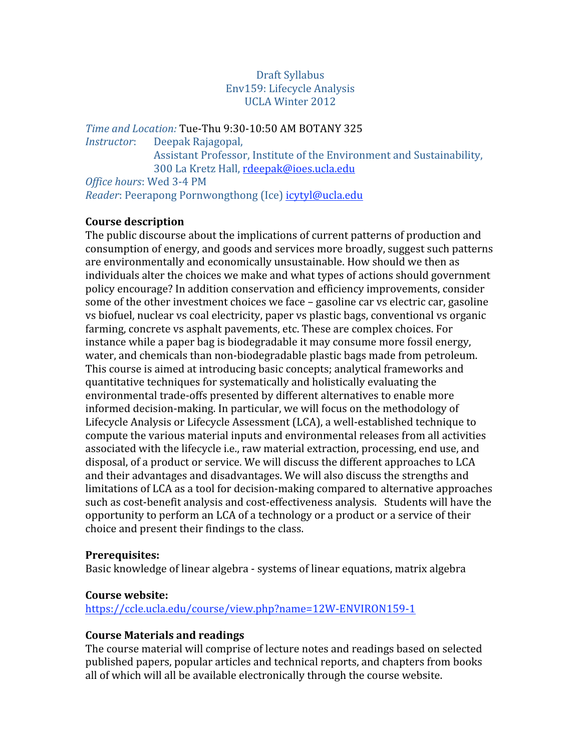#### Draft Syllabus Env159: Lifecycle Analysis UCLA Winter 2012

*Time and Location:* Tue‐Thu 9:30‐10:50 AM BOTANY 325 *Instructor*: Deepak Rajagopal, Assistant Professor, Institute of the Environment and Sustainability, 300 La Kretz Hall, rdeepak@ioes.ucla.edu *Office hours*: Wed 3‐4 PM *Reader*: Peerapong Pornwongthong (Ice) icytyl@ucla.edu

#### **Course description**

The public discourse about the implications of current patterns of production and consumption of energy, and goods and services more broadly, suggest such patterns are environmentally and economically unsustainable. How should we then as individuals alter the choices we make and what types of actions should government policy encourage? In addition conservation and efficiency improvements, consider some of the other investment choices we face – gasoline car vs electric car, gasoline vs biofuel, nuclear vs coal electricity, paper vs plastic bags, conventional vs organic farming, concrete vs asphalt pavements, etc. These are complex choices. For instance while a paper bag is biodegradable it may consume more fossil energy, water, and chemicals than non‐biodegradable plastic bags made from petroleum. This course is aimed at introducing basic concepts; analytical frameworks and quantitative techniques for systematically and holistically evaluating the environmental trade‐offs presented by different alternatives to enable more informed decision‐making. In particular, we will focus on the methodology of Lifecycle Analysis or Lifecycle Assessment (LCA), a well‐established technique to compute the various material inputs and environmental releases from all activities associated with the lifecycle i.e., raw material extraction, processing, end use, and disposal, of a product or service. We will discuss the different approaches to LCA and their advantages and disadvantages. We will also discuss the strengths and limitations of LCA as a tool for decision‐making compared to alternative approaches such as cost‐benefit analysis and cost‐effectiveness analysis. Students will have the opportunity to perform an LCA of a technology or a product or a service of their choice and present their findings to the class.

#### **Prerequisites:**

Basic knowledge of linear algebra ‐ systems of linear equations, matrix algebra

#### **Course website:**

https://ccle.ucla.edu/course/view.php?name=12W‐ENVIRON159‐1

#### **Course Materials and readings**

The course material will comprise of lecture notes and readings based on selected published papers, popular articles and technical reports, and chapters from books all of which will all be available electronically through the course website.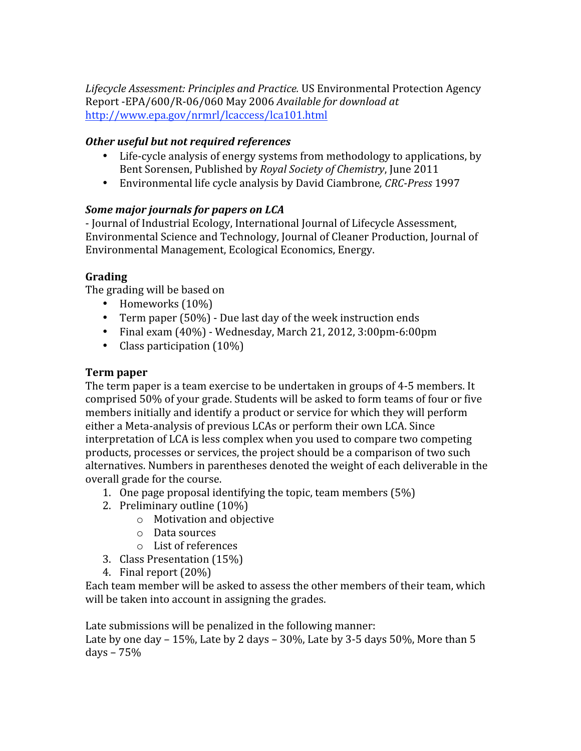*Lifecycle Assessment: Principles and Practice.* US Environmental Protection Agency Report ‐EPA/600/R‐06/060 May 2006 *Available for download at* http://www.epa.gov/nrmrl/lcaccess/lca101.html

## *Other useful but not required references*

- Life-cycle analysis of energy systems from methodology to applications, by Bent Sorensen, Published by *Royal Society of Chemistry*, June 2011
- Environmental life cycle analysis by David Ciambrone*, CRC‐Press* 1997

## *Some major journals for papers on LCA*

‐ Journal of Industrial Ecology, International Journal of Lifecycle Assessment, Environmental Science and Technology, Journal of Cleaner Production, Journal of Environmental Management, Ecological Economics, Energy.

## **Grading**

The grading will be based on

- Homeworks (10%)
- Term paper (50%) Due last day of the week instruction ends
- Final exam (40%) ‐ Wednesday, March 21, 2012, 3:00pm‐6:00pm
- Class participation (10%)

## **Term paper**

The term paper is a team exercise to be undertaken in groups of 4‐5 members. It comprised 50% of your grade. Students will be asked to form teams of four or five members initially and identify a product or service for which they will perform either a Meta‐analysis of previous LCAs or perform their own LCA. Since interpretation of LCA is less complex when you used to compare two competing products, processes or services, the project should be a comparison of two such alternatives. Numbers in parentheses denoted the weight of each deliverable in the overall grade for the course.

- 1. One page proposal identifying the topic, team members (5%)
- 2. Preliminary outline (10%)
	- o Motivation and objective
	- o Data sources
	- o List of references
- 3. Class Presentation (15%)
- 4. Final report (20%)

Each team member will be asked to assess the other members of their team, which will be taken into account in assigning the grades.

Late submissions will be penalized in the following manner:

Late by one day – 15%, Late by 2 days –  $30\%$ , Late by 3-5 days 50%, More than 5 days – 75%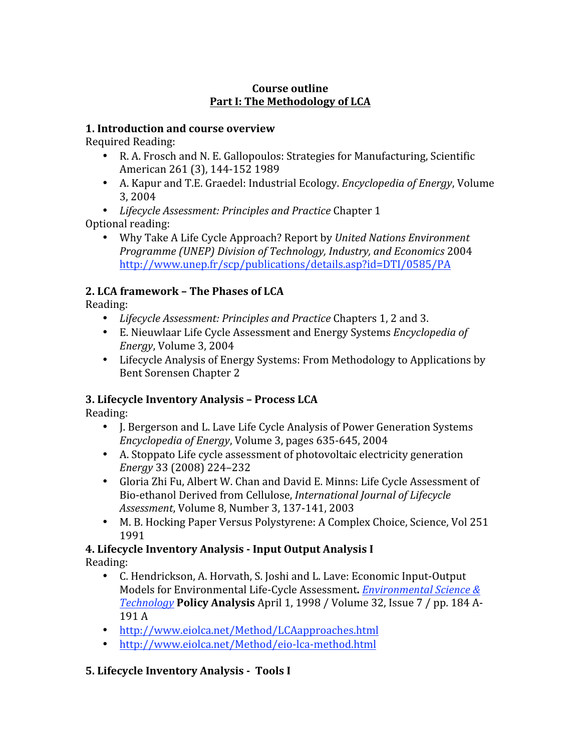### **Course outline Part I: The Methodology of LCA**

### **1. Introduction and course overview**

Required Reading:

- R. A. Frosch and N. E. Gallopoulos: Strategies for Manufacturing, Scientific American 261 (3), 144‐152 1989
- A. Kapur and T.E. Graedel: Industrial Ecology. *Encyclopedia of Energy*, Volume 3, 2004
- *Lifecycle Assessment: Principles and Practice* Chapter 1 Optional reading:
	- Why Take A Life Cycle Approach? Report by *United Nations Environment Programme (UNEP) Division of Technology, Industry, and Economics* 2004 http://www.unep.fr/scp/publications/details.asp?id=DTI/0585/PA

# **2. LCA framework – The Phases of LCA**

Reading:

- *Lifecycle Assessment: Principles and Practice* Chapters 1, 2 and 3.
- E. Nieuwlaar Life Cycle Assessment and Energy Systems *Encyclopedia of Energy*, Volume 3, 2004
- Lifecycle Analysis of Energy Systems: From Methodology to Applications by Bent Sorensen Chapter 2

## **3. Lifecycle Inventory Analysis – Process LCA**

Reading:

- J. Bergerson and L. Lave Life Cycle Analysis of Power Generation Systems *Encyclopedia of Energy*, Volume 3, pages 635‐645, 2004
- A. Stoppato Life cycle assessment of photovoltaic electricity generation *Energy* 33 (2008) 224–232
- Gloria Zhi Fu, Albert W. Chan and David E. Minns: Life Cycle Assessment of Bio‐ethanol Derived from Cellulose, *International Journal of Lifecycle Assessment*, Volume 8, Number 3, 137‐141, 2003
- M. B. Hocking Paper Versus Polystyrene: A Complex Choice, Science, Vol 251 1991

### **4. Lifecycle Inventory Analysis ‐ Input Output Analysis I**  Reading:

- C. Hendrickson, A. Horvath, S. Joshi and L. Lave: Economic Input-Output Models for Environmental Life‐Cycle Assessment**.** *Environmental Science & Technology* **Policy Analysis** April 1, 1998 / Volume 32, Issue 7 / pp. 184 A‐ 191 A
- http://www.eiolca.net/Method/LCAapproaches.html
- http://www.eiolca.net/Method/eio‐lca‐method.html

## **5. Lifecycle Inventory Analysis ‐ Tools I**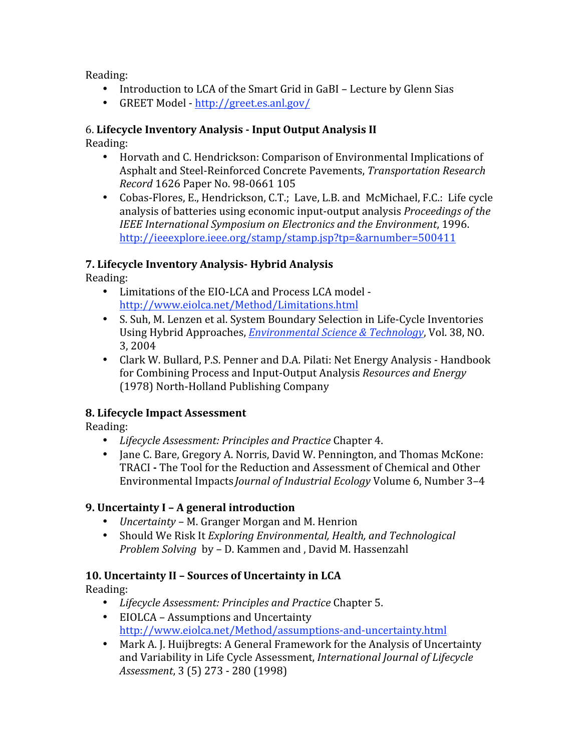Reading:

- Introduction to LCA of the Smart Grid in GaBI Lecture by Glenn Sias
- GREET Model ‐ http://greet.es.anl.gov/

### 6. **Lifecycle Inventory Analysis ‐ Input Output Analysis II**

Reading:

- Horvath and C. Hendrickson: Comparison of Environmental Implications of Asphalt and Steel‐Reinforced Concrete Pavements, *Transportation Research Record* 1626 Paper No. 98‐0661 105
- Cobas-Flores, E., Hendrickson, C.T.; Lave, L.B. and McMichael, F.C.: Life cycle analysis of batteries using economic input‐output analysis *Proceedings of the IEEE International Symposium on Electronics and the Environment*, 1996. http://ieeexplore.ieee.org/stamp/stamp.jsp?tp=&arnumber=500411

## **7. Lifecycle Inventory Analysis‐ Hybrid Analysis**

Reading:

- Limitations of the EIO‐LCA and Process LCA model ‐ http://www.eiolca.net/Method/Limitations.html
- S. Suh, M. Lenzen et al. System Boundary Selection in Life‐Cycle Inventories Using Hybrid Approaches, *Environmental Science & Technology*, Vol. 38, NO. 3, 2004
- Clark W. Bullard, P.S. Penner and D.A. Pilati: Net Energy Analysis Handbook for Combining Process and Input‐Output Analysis *Resources and Energy* (1978) North‐Holland Publishing Company

## **8. Lifecycle Impact Assessment**

Reading:

- *Lifecycle Assessment: Principles and Practice* Chapter 4.
- Jane C. Bare, Gregory A. Norris, David W. Pennington, and Thomas McKone: TRACI **‐** The Tool for the Reduction and Assessment of Chemical and Other Environmental Impacts *Journal of Industrial Ecology* Volume 6, Number 3–4

## **9. Uncertainty I – A general introduction**

- *Uncertainty* M. Granger Morgan and M. Henrion
- Should We Risk It *Exploring Environmental, Health, and Technological Problem Solving* by – D. Kammen and , David M. Hassenzahl

## **10. Uncertainty II – Sources of Uncertainty in LCA**

Reading:

- *Lifecycle Assessment: Principles and Practice* Chapter 5.
- EIOLCA Assumptions and Uncertainty http://www.eiolca.net/Method/assumptions‐and‐uncertainty.html
- Mark A. J. Huijbregts: A General Framework for the Analysis of Uncertainty and Variability in Life Cycle Assessment, *International Journal of Lifecycle Assessment*, 3 (5) 273 ‐ 280 (1998)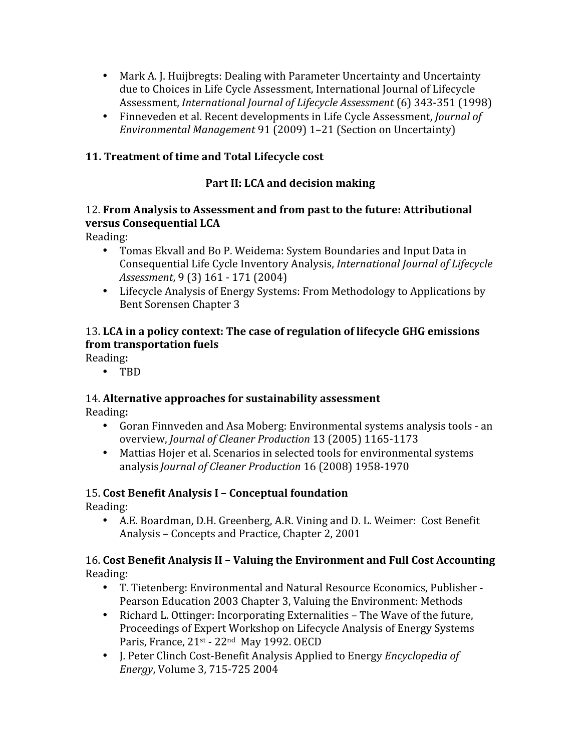- Mark A. J. Huijbregts: Dealing with Parameter Uncertainty and Uncertainty due to Choices in Life Cycle Assessment, International Journal of Lifecycle Assessment, *International Journal of Lifecycle Assessment* (6) 343‐351 (1998)
- Finneveden et al. Recent developments in Life Cycle Assessment, *Journal of Environmental Management* 91 (2009) 1–21 (Section on Uncertainty)

## **11. Treatment of time and Total Lifecycle cost**

### **Part II: LCA and decision making**

### 12. **From Analysis to Assessment and from past to the future: Attributional versus Consequential LCA**

Reading:

- Tomas Ekvall and Bo P. Weidema: System Boundaries and Input Data in Consequential Life Cycle Inventory Analysis, *International Journal of Lifecycle Assessment*, 9 (3) 161 ‐ 171 (2004)
- Lifecycle Analysis of Energy Systems: From Methodology to Applications by Bent Sorensen Chapter 3

## 13. **LCA in a policy context: The case of regulation of lifecycle GHG emissions from transportation fuels**

Reading**:**

• TBD

# 14. **Alternative approaches for sustainability assessment**

Reading**:**

- Goran Finnveden and Asa Moberg: Environmental systems analysis tools ‐ an overview, *Journal of Cleaner Production* 13 (2005) 1165‐1173
- Mattias Hojer et al. Scenarios in selected tools for environmental systems analysis *Journal of Cleaner Production* 16 (2008) 1958‐1970

# 15. **Cost Benefit Analysis I – Conceptual foundation**

Reading:

• A.E. Boardman, D.H. Greenberg, A.R. Vining and D. L. Weimer: Cost Benefit Analysis – Concepts and Practice, Chapter 2, 2001

### 16. **Cost Benefit Analysis II – Valuing the Environment and Full Cost Accounting** Reading:

- T. Tietenberg: Environmental and Natural Resource Economics, Publisher ‐ Pearson Education 2003 Chapter 3, Valuing the Environment: Methods
- Richard L. Ottinger: Incorporating Externalities The Wave of the future, Proceedings of Expert Workshop on Lifecycle Analysis of Energy Systems Paris, France, 21<sup>st</sup> - 22<sup>nd</sup> May 1992. OECD
- J. Peter Clinch Cost‐Benefit Analysis Applied to Energy *Encyclopedia of Energy*, Volume 3, 715‐725 2004